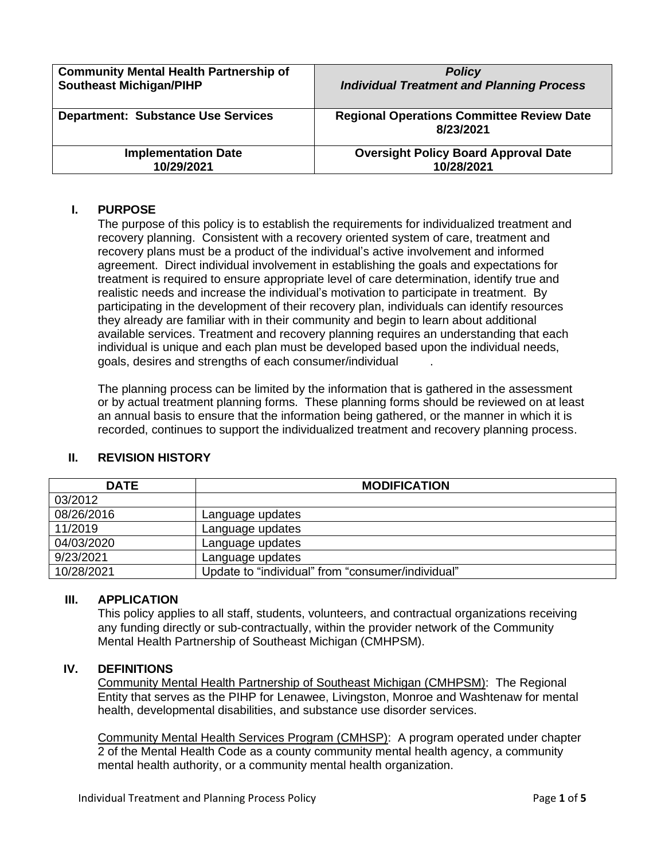| <b>Community Mental Health Partnership of</b> | <b>Policy</b>                                                 |
|-----------------------------------------------|---------------------------------------------------------------|
| <b>Southeast Michigan/PIHP</b>                | <b>Individual Treatment and Planning Process</b>              |
| <b>Department: Substance Use Services</b>     | <b>Regional Operations Committee Review Date</b><br>8/23/2021 |
| <b>Implementation Date</b>                    | <b>Oversight Policy Board Approval Date</b>                   |
| 10/29/2021                                    | 10/28/2021                                                    |

# **I. PURPOSE**

The purpose of this policy is to establish the requirements for individualized treatment and recovery planning. Consistent with a recovery oriented system of care, treatment and recovery plans must be a product of the individual's active involvement and informed agreement. Direct individual involvement in establishing the goals and expectations for treatment is required to ensure appropriate level of care determination, identify true and realistic needs and increase the individual's motivation to participate in treatment. By participating in the development of their recovery plan, individuals can identify resources they already are familiar with in their community and begin to learn about additional available services. Treatment and recovery planning requires an understanding that each individual is unique and each plan must be developed based upon the individual needs, goals, desires and strengths of each consumer/individual .

The planning process can be limited by the information that is gathered in the assessment or by actual treatment planning forms. These planning forms should be reviewed on at least an annual basis to ensure that the information being gathered, or the manner in which it is recorded, continues to support the individualized treatment and recovery planning process.

| <b>DATE</b> | <b>MODIFICATION</b>                               |  |
|-------------|---------------------------------------------------|--|
| 03/2012     |                                                   |  |
| 08/26/2016  | Language updates                                  |  |
| 11/2019     | Language updates                                  |  |
| 04/03/2020  | Language updates                                  |  |
| 9/23/2021   | Language updates                                  |  |
| 10/28/2021  | Update to "individual" from "consumer/individual" |  |

# **II. REVISION HISTORY**

### **III. APPLICATION**

This policy applies to all staff, students, volunteers, and contractual organizations receiving any funding directly or sub-contractually, within the provider network of the Community Mental Health Partnership of Southeast Michigan (CMHPSM).

## **IV. DEFINITIONS**

Community Mental Health Partnership of Southeast Michigan (CMHPSM): The Regional Entity that serves as the PIHP for Lenawee, Livingston, Monroe and Washtenaw for mental health, developmental disabilities, and substance use disorder services.

Community Mental Health Services Program (CMHSP): A program operated under chapter 2 of the Mental Health Code as a county community mental health agency, a community mental health authority, or a community mental health organization.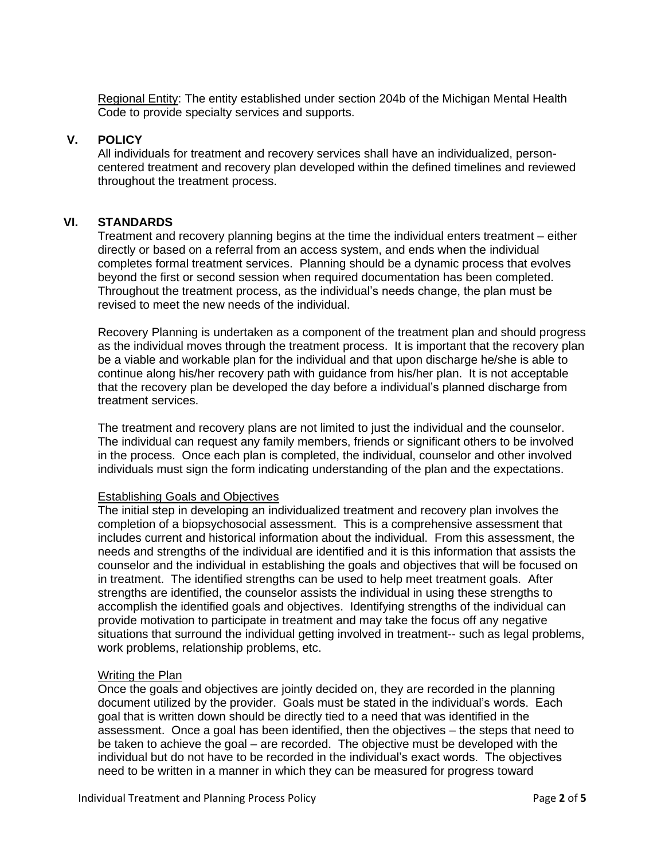Regional Entity: The entity established under section 204b of the Michigan Mental Health Code to provide specialty services and supports.

### **V. POLICY**

All individuals for treatment and recovery services shall have an individualized, personcentered treatment and recovery plan developed within the defined timelines and reviewed throughout the treatment process.

# **VI. STANDARDS**

Treatment and recovery planning begins at the time the individual enters treatment – either directly or based on a referral from an access system, and ends when the individual completes formal treatment services. Planning should be a dynamic process that evolves beyond the first or second session when required documentation has been completed. Throughout the treatment process, as the individual's needs change, the plan must be revised to meet the new needs of the individual.

Recovery Planning is undertaken as a component of the treatment plan and should progress as the individual moves through the treatment process. It is important that the recovery plan be a viable and workable plan for the individual and that upon discharge he/she is able to continue along his/her recovery path with guidance from his/her plan. It is not acceptable that the recovery plan be developed the day before a individual's planned discharge from treatment services.

The treatment and recovery plans are not limited to just the individual and the counselor. The individual can request any family members, friends or significant others to be involved in the process. Once each plan is completed, the individual, counselor and other involved individuals must sign the form indicating understanding of the plan and the expectations.

## Establishing Goals and Objectives

The initial step in developing an individualized treatment and recovery plan involves the completion of a biopsychosocial assessment. This is a comprehensive assessment that includes current and historical information about the individual. From this assessment, the needs and strengths of the individual are identified and it is this information that assists the counselor and the individual in establishing the goals and objectives that will be focused on in treatment. The identified strengths can be used to help meet treatment goals. After strengths are identified, the counselor assists the individual in using these strengths to accomplish the identified goals and objectives. Identifying strengths of the individual can provide motivation to participate in treatment and may take the focus off any negative situations that surround the individual getting involved in treatment-- such as legal problems, work problems, relationship problems, etc.

### Writing the Plan

Once the goals and objectives are jointly decided on, they are recorded in the planning document utilized by the provider. Goals must be stated in the individual's words. Each goal that is written down should be directly tied to a need that was identified in the assessment. Once a goal has been identified, then the objectives – the steps that need to be taken to achieve the goal – are recorded. The objective must be developed with the individual but do not have to be recorded in the individual's exact words. The objectives need to be written in a manner in which they can be measured for progress toward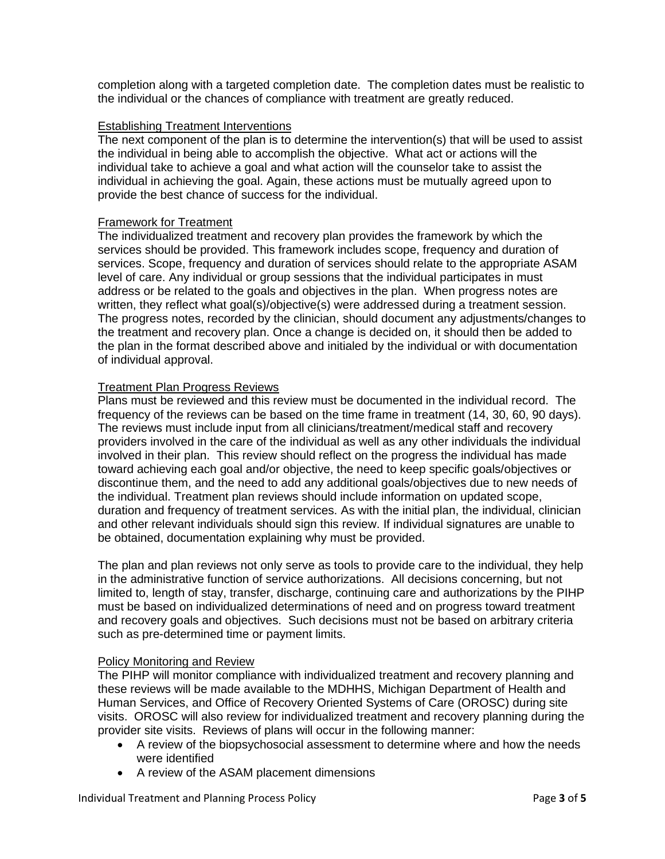completion along with a targeted completion date. The completion dates must be realistic to the individual or the chances of compliance with treatment are greatly reduced.

### Establishing Treatment Interventions

The next component of the plan is to determine the intervention(s) that will be used to assist the individual in being able to accomplish the objective. What act or actions will the individual take to achieve a goal and what action will the counselor take to assist the individual in achieving the goal. Again, these actions must be mutually agreed upon to provide the best chance of success for the individual.

## Framework for Treatment

The individualized treatment and recovery plan provides the framework by which the services should be provided. This framework includes scope, frequency and duration of services. Scope, frequency and duration of services should relate to the appropriate ASAM level of care. Any individual or group sessions that the individual participates in must address or be related to the goals and objectives in the plan. When progress notes are written, they reflect what goal(s)/objective(s) were addressed during a treatment session. The progress notes, recorded by the clinician, should document any adjustments/changes to the treatment and recovery plan. Once a change is decided on, it should then be added to the plan in the format described above and initialed by the individual or with documentation of individual approval.

## Treatment Plan Progress Reviews

Plans must be reviewed and this review must be documented in the individual record. The frequency of the reviews can be based on the time frame in treatment (14, 30, 60, 90 days). The reviews must include input from all clinicians/treatment/medical staff and recovery providers involved in the care of the individual as well as any other individuals the individual involved in their plan. This review should reflect on the progress the individual has made toward achieving each goal and/or objective, the need to keep specific goals/objectives or discontinue them, and the need to add any additional goals/objectives due to new needs of the individual. Treatment plan reviews should include information on updated scope, duration and frequency of treatment services. As with the initial plan, the individual, clinician and other relevant individuals should sign this review. If individual signatures are unable to be obtained, documentation explaining why must be provided.

The plan and plan reviews not only serve as tools to provide care to the individual, they help in the administrative function of service authorizations. All decisions concerning, but not limited to, length of stay, transfer, discharge, continuing care and authorizations by the PIHP must be based on individualized determinations of need and on progress toward treatment and recovery goals and objectives. Such decisions must not be based on arbitrary criteria such as pre-determined time or payment limits.

### Policy Monitoring and Review

The PIHP will monitor compliance with individualized treatment and recovery planning and these reviews will be made available to the MDHHS, Michigan Department of Health and Human Services, and Office of Recovery Oriented Systems of Care (OROSC) during site visits. OROSC will also review for individualized treatment and recovery planning during the provider site visits. Reviews of plans will occur in the following manner:

- A review of the biopsychosocial assessment to determine where and how the needs were identified
- A review of the ASAM placement dimensions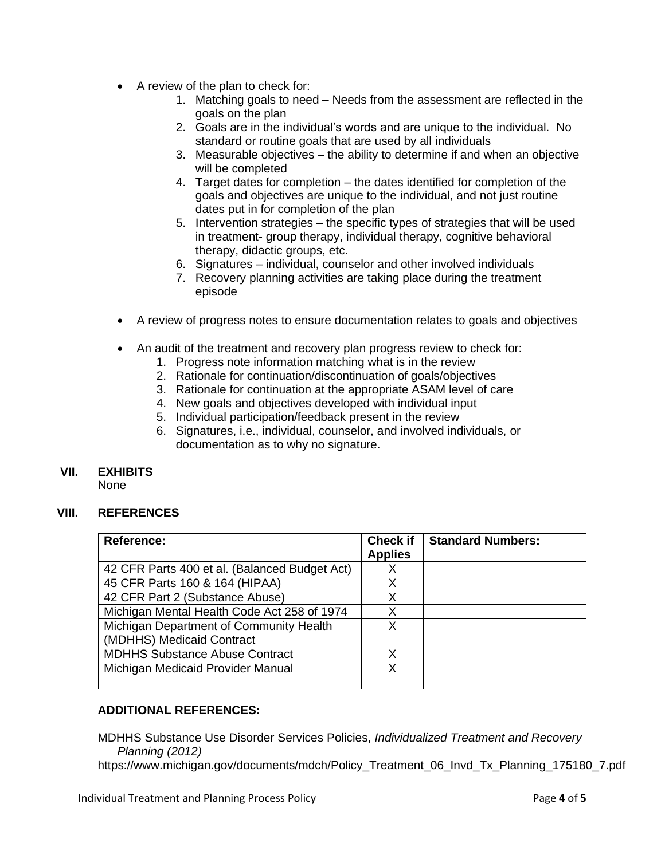- A review of the plan to check for:
	- 1. Matching goals to need Needs from the assessment are reflected in the goals on the plan
	- 2. Goals are in the individual's words and are unique to the individual. No standard or routine goals that are used by all individuals
	- 3. Measurable objectives the ability to determine if and when an objective will be completed
	- 4. Target dates for completion the dates identified for completion of the goals and objectives are unique to the individual, and not just routine dates put in for completion of the plan
	- 5. Intervention strategies the specific types of strategies that will be used in treatment- group therapy, individual therapy, cognitive behavioral therapy, didactic groups, etc.
	- 6. Signatures individual, counselor and other involved individuals
	- 7. Recovery planning activities are taking place during the treatment episode
- A review of progress notes to ensure documentation relates to goals and objectives
- An audit of the treatment and recovery plan progress review to check for:
	- 1. Progress note information matching what is in the review
	- 2. Rationale for continuation/discontinuation of goals/objectives
	- 3. Rationale for continuation at the appropriate ASAM level of care
	- 4. New goals and objectives developed with individual input
	- 5. Individual participation/feedback present in the review
	- 6. Signatures, i.e., individual, counselor, and involved individuals, or documentation as to why no signature.

### **VII. EXHIBITS**

None

# **VIII. REFERENCES**

| <b>Reference:</b>                             | <b>Check if</b><br><b>Applies</b> | <b>Standard Numbers:</b> |
|-----------------------------------------------|-----------------------------------|--------------------------|
| 42 CFR Parts 400 et al. (Balanced Budget Act) |                                   |                          |
| 45 CFR Parts 160 & 164 (HIPAA)                |                                   |                          |
| 42 CFR Part 2 (Substance Abuse)               |                                   |                          |
| Michigan Mental Health Code Act 258 of 1974   |                                   |                          |
| Michigan Department of Community Health       | x                                 |                          |
| (MDHHS) Medicaid Contract                     |                                   |                          |
| <b>MDHHS Substance Abuse Contract</b>         | X                                 |                          |
| Michigan Medicaid Provider Manual             | x                                 |                          |
|                                               |                                   |                          |

# **ADDITIONAL REFERENCES:**

MDHHS Substance Use Disorder Services Policies, *Individualized Treatment and Recovery Planning (2012)*

https://www.michigan.gov/documents/mdch/Policy\_Treatment\_06\_Invd\_Tx\_Planning\_175180\_7.pdf